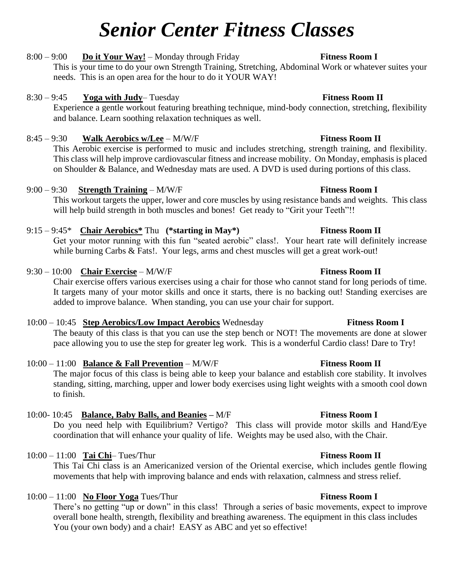# *Senior Center Fitness Classes*

# 8:00 – 9:00 **Do it Your Way!** – Monday through Friday **Fitness Room I**

This is your time to do your own Strength Training, Stretching, Abdominal Work or whatever suites your needs. This is an open area for the hour to do it YOUR WAY!

## 8:30 – 9:45 **Yoga with Judy**– Tuesday **Fitness Room II**

Experience a gentle workout featuring breathing technique, mind-body connection, stretching, flexibility and balance. Learn soothing relaxation techniques as well.

### 8:45 – 9:30 **Walk Aerobics w/Lee** – M/W/F **Fitness Room II**

This Aerobic exercise is performed to music and includes stretching, strength training, and flexibility. This class will help improve cardiovascular fitness and increase mobility. On Monday, emphasis is placed on Shoulder & Balance, and Wednesday mats are used. A DVD is used during portions of this class.

### 9:00 – 9:30 **Strength Training** – M/W/F **Fitness Room I**

This workout targets the upper, lower and core muscles by using resistance bands and weights. This class will help build strength in both muscles and bones! Get ready to "Grit your Teeth"!!

### 9:15 – 9:45\* **Chair Aerobics\*** Thu **(\*starting in May\*) Fitness Room II**

Get your motor running with this fun "seated aerobic" class!. Your heart rate will definitely increase while burning Carbs & Fats!. Your legs, arms and chest muscles will get a great work-out!

# 9:30 – 10:00 **Chair Exercise** – M/W/F **Fitness Room II**

Chair exercise offers various exercises using a chair for those who cannot stand for long periods of time. It targets many of your motor skills and once it starts, there is no backing out! Standing exercises are added to improve balance. When standing, you can use your chair for support.

### 10:00 – 10:45 **Step Aerobics/Low Impact Aerobics** Wednesday **Fitness Room I**

The beauty of this class is that you can use the step bench or NOT! The movements are done at slower pace allowing you to use the step for greater leg work. This is a wonderful Cardio class! Dare to Try!

### 10:00 – 11:00 **Balance & Fall Prevention** – M/W/F **Fitness Room II**

The major focus of this class is being able to keep your balance and establish core stability. It involves standing, sitting, marching, upper and lower body exercises using light weights with a smooth cool down to finish.

# 10:00- 10:45 **Balance, Baby Balls, and Beanies –** M/F **Fitness Room I**

Do you need help with Equilibrium? Vertigo? This class will provide motor skills and Hand/Eye coordination that will enhance your quality of life. Weights may be used also, with the Chair.

### 10:00 – 11:00 **Tai Chi**– Tues/Thur **Fitness Room II**

This Tai Chi class is an Americanized version of the Oriental exercise, which includes gentle flowing movements that help with improving balance and ends with relaxation, calmness and stress relief.

### 10:00 – 11:00 **No Floor Yoga** Tues/Thur **Fitness Room I**

There's no getting "up or down" in this class! Through a series of basic movements, expect to improve overall bone health, strength, flexibility and breathing awareness. The equipment in this class includes You (your own body) and a chair! EASY as ABC and yet so effective!